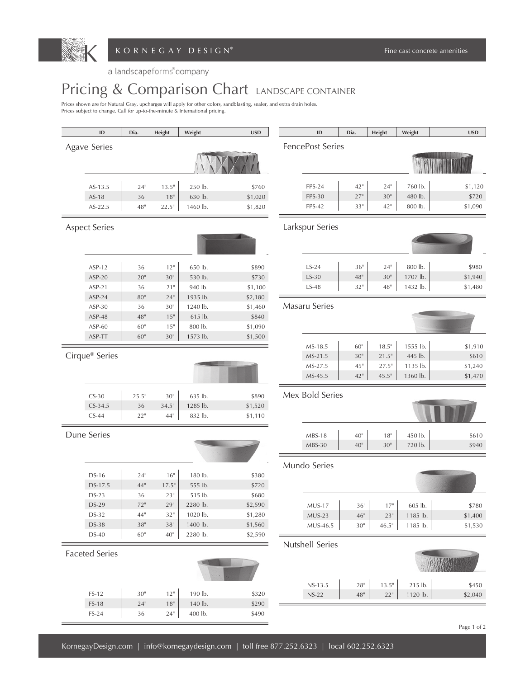

a landscapeforms company

## Pricing & Comparison Chart LANDSCAPE CONTAINER

Prices shown are for Natural Gray, upcharges will apply for other colors, sandblasting, sealer, and extra drain holes.<br>Prices subject to change. Call for up-to-the-minute & International pricing.

|                | $\sf ID$              | Dia.             | Height           | Weight   | <b>USD</b>       | $\mathsf{ID}$        | Dia.             | Height          | Weight   | <b>USD</b> |
|----------------|-----------------------|------------------|------------------|----------|------------------|----------------------|------------------|-----------------|----------|------------|
|                | <b>Agave Series</b>   |                  |                  |          | FencePost Series |                      |                  |                 |          |            |
|                |                       |                  |                  |          |                  |                      |                  |                 |          |            |
|                |                       |                  |                  |          |                  |                      |                  |                 |          |            |
|                |                       |                  |                  |          |                  |                      |                  |                 |          |            |
|                | AS-13.5               | $24"$            | $13.5"$          | 250 lb.  | \$760            | <b>FPS-24</b>        | 42"              | $24"$           | 760 lb.  | \$1,120    |
|                | $AS-18$               | 36"              | 18"              | 630 lb.  | \$1,020          | <b>FPS-30</b>        | 27"              | 30 <sup>°</sup> | 480 lb.  | \$720      |
|                | AS-22.5               | 48"              | 22.5"            | 1460 lb. | \$1,820          | <b>FPS-42</b>        | 33"              | 42"             | 800 lb.  | \$1,090    |
|                |                       |                  |                  |          |                  |                      |                  |                 |          |            |
|                | <b>Aspect Series</b>  |                  |                  |          |                  | Larkspur Series      |                  |                 |          |            |
|                |                       |                  |                  |          |                  |                      |                  |                 |          |            |
|                |                       |                  |                  |          |                  |                      |                  |                 |          |            |
|                | ASP-12                | 36"              | 12"              | 650 lb.  | \$890            | $LS-24$              | $36"$            | $24"$           | 800 lb.  | \$980      |
|                | $ASP-20$              | 20 <sup>''</sup> | 30 <sup>°</sup>  | 530 lb.  | \$730            | $LS-30$              | $48"$            | $30"$           | 1707 lb. | \$1,940    |
|                | $ASP-21$              | 36"              | 21"              | 940 lb.  | \$1,100          | $LS-48$              | $32"$            | $48"$           | 1432 lb. | \$1,480    |
|                | $ASP-24$              | $80"$            | 24"              | 1935 lb. | \$2,180          |                      |                  |                 |          |            |
|                | ASP-30                | 36"              | 30 <sup>th</sup> | 1240 lb. | \$1,460          | <b>Masaru Series</b> |                  |                 |          |            |
|                | ASP-48                | $48"$            | 15"              | 615 lb.  | \$840            |                      |                  |                 |          |            |
|                | ASP-60                | 60"              | 15"              | 800 lb.  | \$1,090          |                      |                  |                 |          |            |
|                | ASP-TT                | $60"$            | $30^{\rm n}$     | 1573 lb. | \$1,500          |                      |                  |                 |          |            |
|                |                       |                  |                  |          |                  | MS-18.5              | $60"$            | 18.5"           | 1555 lb. | \$1,910    |
| Cirque® Series |                       |                  |                  |          | MS-21.5          | 30 <sup>''</sup>     | 21.5"            | 445 lb.         | \$610    |            |
|                |                       |                  |                  |          |                  | MS-27.5              | 45"              | 27.5"           | 1135 lb. | \$1,240    |
|                |                       |                  |                  |          |                  | MS-45.5              | 42"              | 45.5"           | 1360 lb. | \$1,470    |
|                |                       |                  |                  |          |                  | Mex Bold Series      |                  |                 |          |            |
|                | $CS-30$               | 25.5"            | $30^{\rm n}$     | 635 lb.  | \$890            |                      |                  |                 |          |            |
|                | $CS-34.5$             | 36"              | 34.5"            | 1285 lb. | \$1,520          |                      |                  |                 |          |            |
|                | $CS-44$               | 22"              | 44"              | 832 lb.  | \$1,110          |                      |                  |                 |          |            |
|                | Dune Series           |                  |                  |          |                  | <b>MBS-18</b>        | 40 <sup>°</sup>  | $18"$           | 450 lb.  | \$610      |
|                |                       |                  |                  |          |                  | MBS-30               | 40 <sup>°</sup>  | 30 <sup>°</sup> | 720 lb.  | \$940      |
|                |                       |                  |                  |          |                  |                      |                  |                 |          |            |
|                |                       |                  |                  |          |                  | Mundo Series         |                  |                 |          |            |
|                | DS-16                 | $24"$            | 16"              | 180 lb.  | \$380            |                      |                  |                 |          |            |
|                | DS-17.5               | 44"              | 17.5"            | 555 lb.  | \$720            |                      |                  |                 |          |            |
|                | $DS-23$               | 36"              | 23"              | 515 lb.  | \$680            |                      |                  |                 |          |            |
|                | DS-29                 | $72"$            | $29"$            | 2280 lb. | \$2,590          | <b>MUS-17</b>        | 36"              | 17"             | 605 lb.  | \$780      |
|                | DS-32                 | 44"              | 32"              | 1020 lb. | \$1,280          | $MUS-23$             | 46"              | 23"             | 1185 lb. | \$1,400    |
|                | DS-38                 | $38"$            | $38"$            | 1400 lb. | \$1,560          | MUS-46.5             | 30 <sup>°</sup>  | $46.5"$         | 1185 lb. | \$1,530    |
|                | DS-40                 | 60 <sup>°</sup>  | 40 <sup>°</sup>  | 2280 lb. | \$2,590          |                      |                  |                 |          |            |
|                |                       |                  |                  |          |                  | Nutshell Series      |                  |                 |          |            |
|                | <b>Faceted Series</b> |                  |                  |          |                  |                      |                  |                 |          |            |
|                |                       |                  |                  |          |                  |                      |                  |                 |          |            |
|                |                       |                  |                  |          |                  |                      |                  |                 |          |            |
|                | FS-12                 | $30^{\circ}$     | $12"$            | 190 lb.  | \$320            | $NS-13.5$            | 28 <sup>11</sup> | 13.5"           | 215 lb.  | \$450      |
|                | $FS-18$               | 24"              | $18"$            | 140 lb.  | \$290            | $NS-22$              | $48"$            | $22"$           | 1120 lb. | \$2,040    |
|                | $FS-24$               | $36"$            | $24"$            | 400 lb.  | \$490            |                      |                  |                 |          |            |
|                |                       |                  |                  |          |                  |                      |                  |                 |          |            |

Page 1 of 2